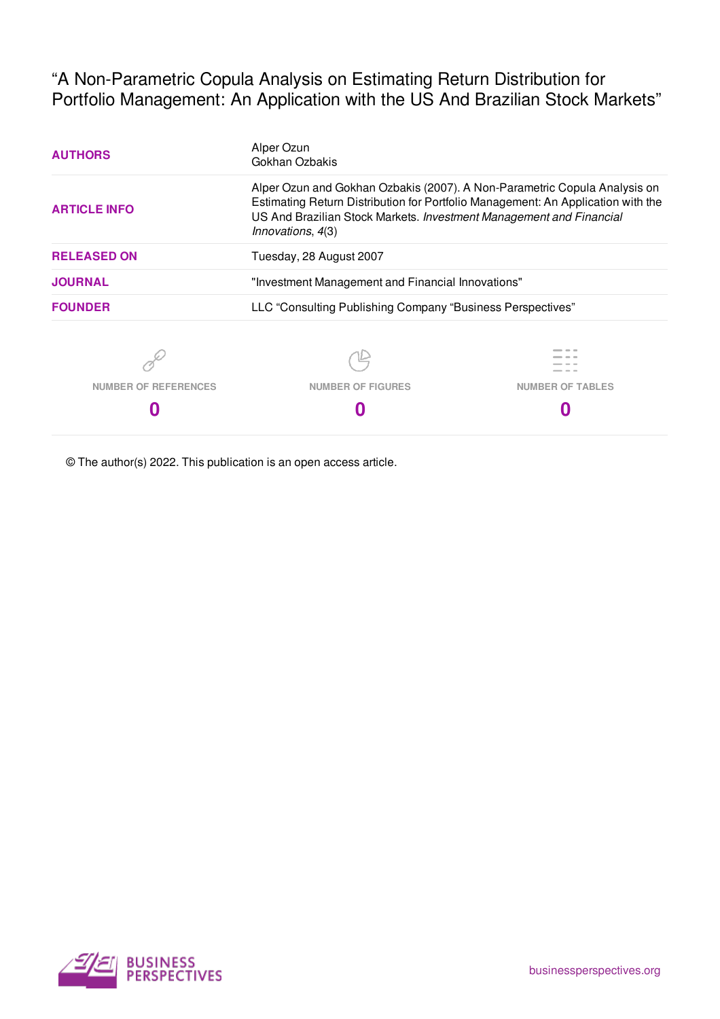"A Non-Parametric Copula Analysis on Estimating Return Distribution for Portfolio Management: An Application with the US And Brazilian Stock Markets"

| <b>AUTHORS</b>              | Alper Ozun<br>Gokhan Ozbakis                                                                                                                                                                                                         |                         |  |  |  |  |
|-----------------------------|--------------------------------------------------------------------------------------------------------------------------------------------------------------------------------------------------------------------------------------|-------------------------|--|--|--|--|
| <b>ARTICLE INFO</b>         | Alper Ozun and Gokhan Ozbakis (2007). A Non-Parametric Copula Analysis on<br>Estimating Return Distribution for Portfolio Management: An Application with the<br>US And Brazilian Stock Markets. Investment Management and Financial |                         |  |  |  |  |
| <b>RELEASED ON</b>          | Tuesday, 28 August 2007                                                                                                                                                                                                              |                         |  |  |  |  |
| <b>JOURNAL</b>              | "Investment Management and Financial Innovations"                                                                                                                                                                                    |                         |  |  |  |  |
| <b>FOUNDER</b>              | LLC "Consulting Publishing Company "Business Perspectives"                                                                                                                                                                           |                         |  |  |  |  |
|                             |                                                                                                                                                                                                                                      |                         |  |  |  |  |
| <b>NUMBER OF REFERENCES</b> | <b>NUMBER OF FIGURES</b>                                                                                                                                                                                                             | <b>NUMBER OF TABLES</b> |  |  |  |  |
|                             |                                                                                                                                                                                                                                      |                         |  |  |  |  |

© The author(s) 2022. This publication is an open access article.

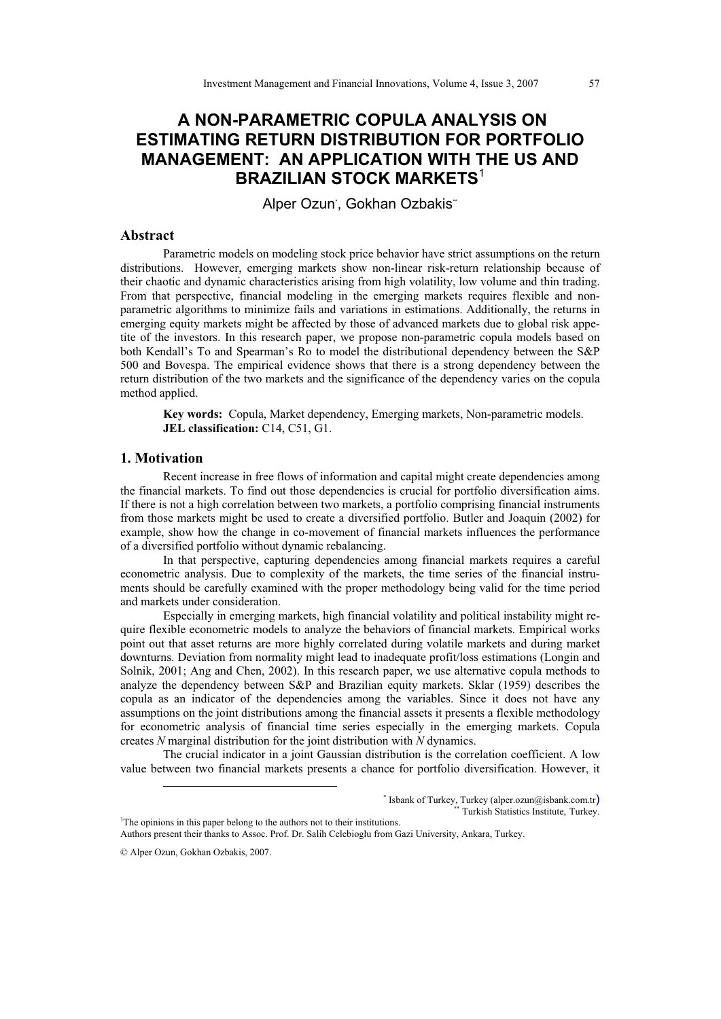# **A NON-PARAMETRIC COPULA ANALYSIS ON ESTIMATING RETURN DISTRIBUTION FOR PORTFOLIO MANAGEMENT: AN APPLICATION WITH THE US AND BRAZILIAN STOCK MARKETS**<sup>1</sup>

Alper Ozun<sup>\*</sup>, Gokhan Ozbakis<sup>\*</sup>

# **Abstract**

Parametric models on modeling stock price behavior have strict assumptions on the return distributions. However, emerging markets show non-linear risk-return relationship because of their chaotic and dynamic characteristics arising from high volatility, low volume and thin trading. From that perspective, financial modeling in the emerging markets requires flexible and nonparametric algorithms to minimize fails and variations in estimations. Additionally, the returns in emerging equity markets might be affected by those of advanced markets due to global risk appetite of the investors. In this research paper, we propose non-parametric copula models based on both Kendall's To and Spearman's Ro to model the distributional dependency between the S&P 500 and Bovespa. The empirical evidence shows that there is a strong dependency between the return distribution of the two markets and the significance of the dependency varies on the copula method applied.

**Key words:** Copula, Market dependency, Emerging markets, Non-parametric models. **JEL classification:** C14, C51, G1.

### **1. Motivation**

Recent increase in free flows of information and capital might create dependencies among the financial markets. To find out those dependencies is crucial for portfolio diversification aims. If there is not a high correlation between two markets, a portfolio comprising financial instruments from those markets might be used to create a diversified portfolio. Butler and Joaquin (2002) for example, show how the change in co-movement of financial markets influences the performance of a diversified portfolio without dynamic rebalancing.

In that perspective, capturing dependencies among financial markets requires a careful econometric analysis. Due to complexity of the markets, the time series of the financial instruments should be carefully examined with the proper methodology being valid for the time period and markets under consideration.

Especially in emerging markets, high financial volatility and political instability might require flexible econometric models to analyze the behaviors of financial markets. Empirical works point out that asset returns are more highly correlated during volatile markets and during market downturns. Deviation from normality might lead to inadequate profit/loss estimations (Longin and Solnik, 2001; Ang and Chen, 2002). In this research paper, we use alternative copula methods to analyze the dependency between S&P and Brazilian equity markets. Sklar (1959) describes the copula as an indicator of the dependencies among the variables. Since it does not have any assumptions on the joint distributions among the financial assets it presents a flexible methodology for econometric analysis of financial time series especially in the emerging markets. Copula creates *N* marginal distribution for the joint distribution with *N* dynamics.

The crucial indicator in a joint Gaussian distribution is the correlation coefficient. A low value between two financial markets presents a chance for portfolio diversification. However, it

<sup>-</sup>

<sup>\*</sup> Isbank of Turkey, Turkey (alper.ozun@isbank.com.tr) Turkish Statistics Institute, Turkey.

<sup>&</sup>lt;sup>1</sup>The opinions in this paper belong to the authors not to their institutions. Authors present their thanks to Assoc. Prof. Dr. Salih Celebioglu from Gazi University, Ankara, Turkey.

<sup>©</sup> Alper Ozun, Gokhan Ozbakis, 2007.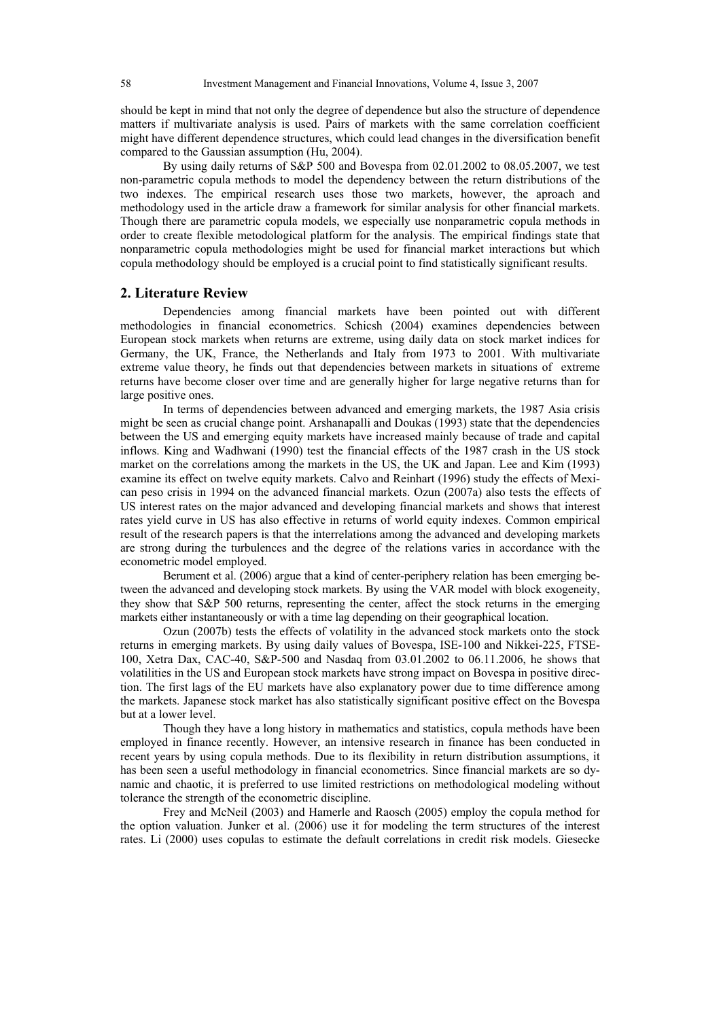should be kept in mind that not only the degree of dependence but also the structure of dependence matters if multivariate analysis is used. Pairs of markets with the same correlation coefficient might have different dependence structures, which could lead changes in the diversification benefit compared to the Gaussian assumption (Hu, 2004).

By using daily returns of S&P 500 and Bovespa from 02.01.2002 to 08.05.2007, we test non-parametric copula methods to model the dependency between the return distributions of the two indexes. The empirical research uses those two markets, however, the aproach and methodology used in the article draw a framework for similar analysis for other financial markets. Though there are parametric copula models, we especially use nonparametric copula methods in order to create flexible metodological platform for the analysis. The empirical findings state that nonparametric copula methodologies might be used for financial market interactions but which copula methodology should be employed is a crucial point to find statistically significant results.

#### **2. Literature Review**

Dependencies among financial markets have been pointed out with different methodologies in financial econometrics. Schicsh (2004) examines dependencies between European stock markets when returns are extreme, using daily data on stock market indices for Germany, the UK, France, the Netherlands and Italy from 1973 to 2001. With multivariate extreme value theory, he finds out that dependencies between markets in situations of extreme returns have become closer over time and are generally higher for large negative returns than for large positive ones.

In terms of dependencies between advanced and emerging markets, the 1987 Asia crisis might be seen as crucial change point. Arshanapalli and Doukas (1993) state that the dependencies between the US and emerging equity markets have increased mainly because of trade and capital inflows. King and Wadhwani (1990) test the financial effects of the 1987 crash in the US stock market on the correlations among the markets in the US, the UK and Japan. Lee and Kim (1993) examine its effect on twelve equity markets. Calvo and Reinhart (1996) study the effects of Mexican peso crisis in 1994 on the advanced financial markets. Ozun (2007a) also tests the effects of US interest rates on the major advanced and developing financial markets and shows that interest rates yield curve in US has also effective in returns of world equity indexes. Common empirical result of the research papers is that the interrelations among the advanced and developing markets are strong during the turbulences and the degree of the relations varies in accordance with the econometric model employed.

Berument et al. (2006) argue that a kind of center-periphery relation has been emerging between the advanced and developing stock markets. By using the VAR model with block exogeneity, they show that S&P 500 returns, representing the center, affect the stock returns in the emerging markets either instantaneously or with a time lag depending on their geographical location.

Ozun (2007b) tests the effects of volatility in the advanced stock markets onto the stock returns in emerging markets. By using daily values of Bovespa, ISE-100 and Nikkei-225, FTSE-100, Xetra Dax, CAC-40, S&P-500 and Nasdaq from 03.01.2002 to 06.11.2006, he shows that volatilities in the US and European stock markets have strong impact on Bovespa in positive direction. The first lags of the EU markets have also explanatory power due to time difference among the markets. Japanese stock market has also statistically significant positive effect on the Bovespa but at a lower level.

Though they have a long history in mathematics and statistics, copula methods have been employed in finance recently. However, an intensive research in finance has been conducted in recent years by using copula methods. Due to its flexibility in return distribution assumptions, it has been seen a useful methodology in financial econometrics. Since financial markets are so dynamic and chaotic, it is preferred to use limited restrictions on methodological modeling without tolerance the strength of the econometric discipline.

Frey and McNeil (2003) and Hamerle and Raosch (2005) employ the copula method for the option valuation. Junker et al. (2006) use it for modeling the term structures of the interest rates. Li (2000) uses copulas to estimate the default correlations in credit risk models. Giesecke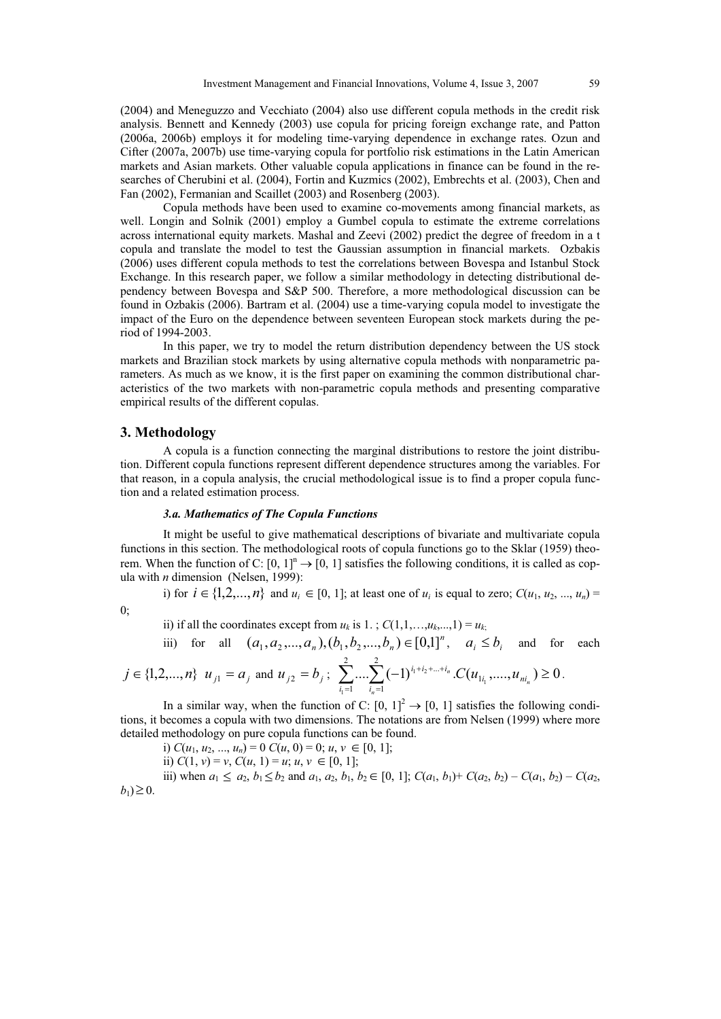(2004) and Meneguzzo and Vecchiato (2004) also use different copula methods in the credit risk analysis. Bennett and Kennedy (2003) use copula for pricing foreign exchange rate, and Patton (2006a, 2006b) employs it for modeling time-varying dependence in exchange rates. Ozun and Cifter (2007a, 2007b) use time-varying copula for portfolio risk estimations in the Latin American markets and Asian markets. Other valuable copula applications in finance can be found in the researches of Cherubini et al. (2004), Fortin and Kuzmics (2002), Embrechts et al. (2003), Chen and Fan (2002), Fermanian and Scaillet (2003) and Rosenberg (2003).

Copula methods have been used to examine co-movements among financial markets, as well. Longin and Solnik (2001) employ a Gumbel copula to estimate the extreme correlations across international equity markets. Mashal and Zeevi (2002) predict the degree of freedom in a t copula and translate the model to test the Gaussian assumption in financial markets. Ozbakis (2006) uses different copula methods to test the correlations between Bovespa and Istanbul Stock Exchange. In this research paper, we follow a similar methodology in detecting distributional dependency between Bovespa and S&P 500. Therefore, a more methodological discussion can be found in Ozbakis (2006). Bartram et al. (2004) use a time-varying copula model to investigate the impact of the Euro on the dependence between seventeen European stock markets during the period of 1994-2003.

In this paper, we try to model the return distribution dependency between the US stock markets and Brazilian stock markets by using alternative copula methods with nonparametric parameters. As much as we know, it is the first paper on examining the common distributional characteristics of the two markets with non-parametric copula methods and presenting comparative empirical results of the different copulas.

#### **3. Methodology**

A copula is a function connecting the marginal distributions to restore the joint distribution. Different copula functions represent different dependence structures among the variables. For that reason, in a copula analysis, the crucial methodological issue is to find a proper copula function and a related estimation process.

### *3.a. Mathematics of The Copula Functions*

It might be useful to give mathematical descriptions of bivariate and multivariate copula functions in this section. The methodological roots of copula functions go to the Sklar (1959) theorem. When the function of C:  $[0, 1]$ <sup>n</sup>  $\rightarrow$   $[0, 1]$  satisfies the following conditions, it is called as copula with *n* dimension (Nelsen, 1999):

i) for  $i \in \{1, 2, ..., n\}$  and  $u_i \in [0, 1]$ ; at least one of  $u_i$  is equal to zero;  $C(u_1, u_2, ..., u_n) =$ 

$$
0;
$$

ii) if all the coordinates except from  $u_k$  is 1.;  $C(1,1,\ldots,u_k,\ldots,1) = u_k$ ;

iii) for all 
$$
(a_1, a_2,..., a_n), (b_1, b_2,..., b_n) \in [0,1]^n
$$
,  $a_i \le b_i$  and for each

$$
j \in \{1, 2, ..., n\}
$$
  $u_{j1} = a_j$  and  $u_{j2} = b_j$ ;  $\sum_{i_1=1}^2 ... \sum_{i_n=1}^2 (-1)^{i_1 + i_2 + ... + i_n} .C(u_{1i_1}, ..., u_{ni_n}) \ge 0$ .

In a similar way, when the function of C:  $[0, 1]^2 \rightarrow [0, 1]$  satisfies the following conditions, it becomes a copula with two dimensions. The notations are from Nelsen (1999) where more detailed methodology on pure copula functions can be found.

i)  $C(u_1, u_2, ..., u_n) = 0$   $C(u, 0) = 0; u, v \in [0, 1];$ 

ii)  $C(1, v) = v$ ,  $C(u, 1) = u$ ;  $u, v \in [0, 1]$ ;

iii) when  $a_1 \le a_2$ ,  $b_1 \le b_2$  and  $a_1$ ,  $a_2$ ,  $b_1$ ,  $b_2 \in [0, 1]$ ;  $C(a_1, b_1) + C(a_2, b_2) - C(a_1, b_2) - C(a_2, b_1)$  $b_1$ )  $\geq 0$ .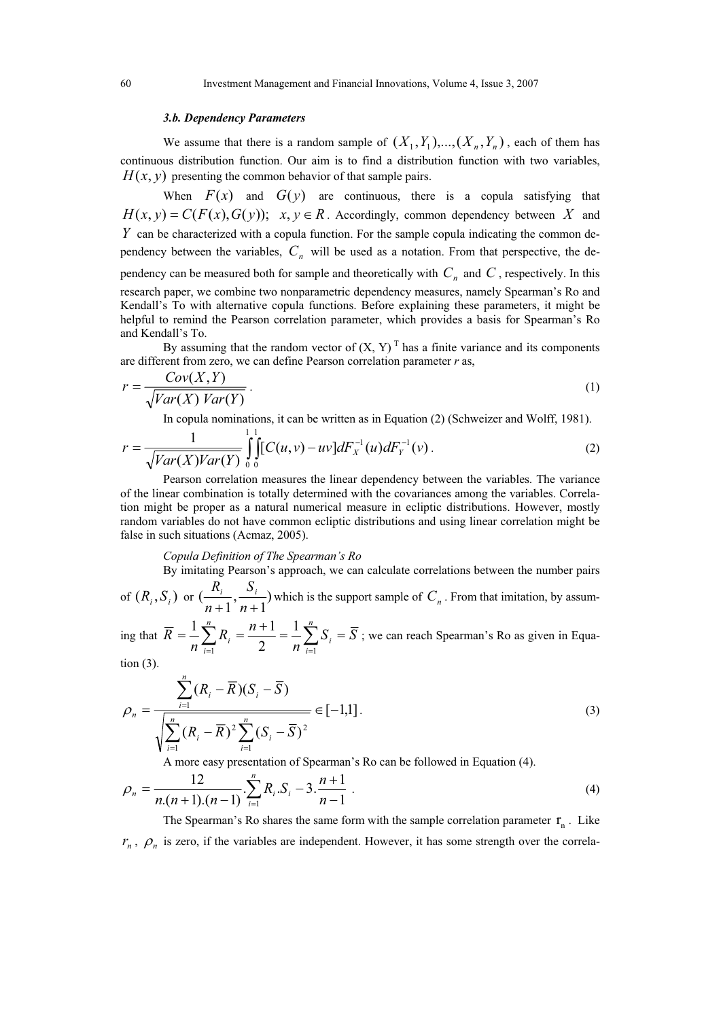#### *3.b. Dependency Parameters*

We assume that there is a random sample of  $(X_1, Y_1),..., (X_n, Y_n)$ , each of them has continuous distribution function. Our aim is to find a distribution function with two variables,  $H(x, y)$  presenting the common behavior of that sample pairs.

When  $F(x)$  and  $G(y)$  are continuous, there is a copula satisfying that  $H(x, y) = C(F(x), G(y));$   $x, y \in R$ . Accordingly, common dependency between *X* and *Y* can be characterized with a copula function. For the sample copula indicating the common dependency between the variables,  $C<sub>n</sub>$  will be used as a notation. From that perspective, the dependency can be measured both for sample and theoretically with  $C_n$  and  $C$ , respectively. In this research paper, we combine two nonparametric dependency measures, namely Spearman's Ro and Kendall's To with alternative copula functions. Before explaining these parameters, it might be helpful to remind the Pearson correlation parameter, which provides a basis for Spearman's Ro and Kendall's To.

By assuming that the random vector of  $(X, Y)^T$  has a finite variance and its components are different from zero, we can define Pearson correlation parameter *r* as,

$$
r = \frac{Cov(X, Y)}{\sqrt{Var(X) Var(Y)}}.
$$
\n(1)

In copula nominations, it can be written as in Equation (2) (Schweizer and Wolff, 1981).

$$
r = \frac{1}{\sqrt{Var(X)Var(Y)}} \int_{0}^{1} \int_{0}^{1} \left[ C(u, v) - uv \right] dF_{X}^{-1}(u) dF_{Y}^{-1}(v). \tag{2}
$$

Pearson correlation measures the linear dependency between the variables. The variance of the linear combination is totally determined with the covariances among the variables. Correlation might be proper as a natural numerical measure in ecliptic distributions. However, mostly random variables do not have common ecliptic distributions and using linear correlation might be false in such situations (Acmaz, 2005).

#### *Copula Definition of The Spearman's Ro*

By imitating Pearson's approach, we can calculate correlations between the number pairs *S*

of  $(R_i, S_i)$  or  $\left(\frac{R_i}{n+1}, \frac{S_i}{n+1}\right)$ 1 , 1 (  $+1$ <sup>2</sup> $n+$  $\frac{R_i}{n+1}$ ,  $\frac{S_i}{n+1}$ ) which is the support sample of  $C_n$ . From that imitation, by assum-

ing that  $R = -\sum_{i=1}^{n} R_i = \frac{n+1}{2} = -\sum_{i=1}^{n} S_i = S$ *n*  $R_i = \frac{n}{2}$ *n R n i i n i*  $=\frac{1}{n}\sum_{i=1}^{n}R_{i} = \frac{n+1}{2} = \frac{1}{n}\sum_{i=1}^{n}$ 2  $\frac{1}{n} \sum_{i=1}^{n} R_i = \frac{n+1}{n} = \frac{1}{n} \sum_{i=1}^{n} S_i = \overline{S}$ ; we can reach Spearman's Ro as given in Equation (3).

$$
\rho_n = \frac{\sum_{i=1}^n (R_i - \overline{R})(S_i - \overline{S})}{\sqrt{\sum_{i=1}^n (R_i - \overline{R})^2 \sum_{i=1}^n (S_i - \overline{S})^2}} \in [-1,1].
$$
\n(3)

A more easy presentation of Spearman's Ro can be followed in Equation (4).

$$
\rho_n = \frac{12}{n(n+1)(n-1)} \cdot \sum_{i=1}^n R_i S_i - 3 \cdot \frac{n+1}{n-1} \tag{4}
$$

The Spearman's Ro shares the same form with the sample correlation parameter  $r_{n}$ . Like  $r_n$ ,  $\rho_n$  is zero, if the variables are independent. However, it has some strength over the correla-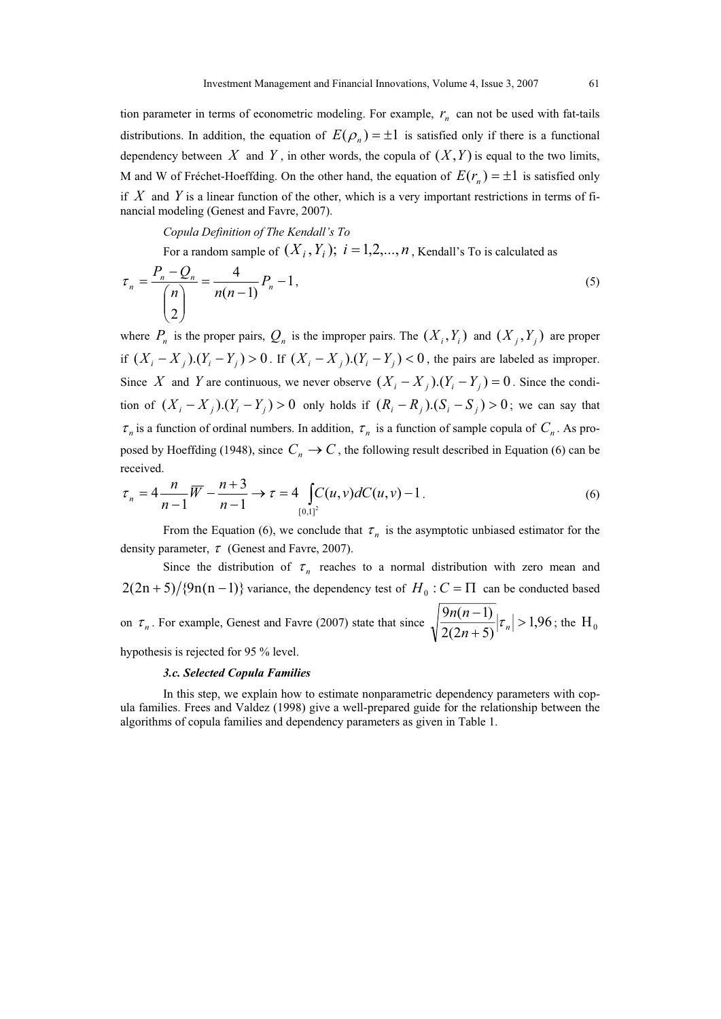tion parameter in terms of econometric modeling. For example,  $r_n$  can not be used with fat-tails distributions. In addition, the equation of  $E(\rho_n) = \pm 1$  is satisfied only if there is a functional dependency between X and Y, in other words, the copula of  $(X, Y)$  is equal to the two limits, M and W of Fréchet-Hoeffding. On the other hand, the equation of  $E(r_n) = \pm 1$  is satisfied only if *X* and *Y* is a linear function of the other, which is a very important restrictions in terms of financial modeling (Genest and Favre, 2007).

*Copula Definition of The Kendall's To* 

For a random sample of  $(X_i, Y_i); \; i = 1, 2, ..., n$  , Kendall's To is calculated as

$$
\tau_n = \frac{P_n - Q_n}{\binom{n}{2}} = \frac{4}{n(n-1)} P_n - 1,\tag{5}
$$

where  $P_n$  is the proper pairs,  $Q_n$  is the improper pairs. The  $(X_i, Y_i)$  and  $(X_j, Y_j)$  are proper if  $(X_i - X_j)(Y_i - Y_j) > 0$ . If  $(X_i - X_j)(Y_i - Y_j) < 0$ , the pairs are labeled as improper. Since *X* and *Y* are continuous, we never observe  $(X_i - X_j)(Y_i - Y_j) = 0$ . Since the condition of  $(X_i - X_j)$ . $(Y_i - Y_j) > 0$  only holds if  $(R_i - R_j)$ . $(S_i - S_j) > 0$ ; we can say that  $\tau_n$  is a function of ordinal numbers. In addition,  $\tau_n$  is a function of sample copula of  $C_n$ . As proposed by Hoeffding (1948), since  $C_n \to C$ , the following result described in Equation (6) can be received.

$$
\tau_n = 4 \frac{n}{n-1} \overline{W} - \frac{n+3}{n-1} \to \tau = 4 \int_{[0,1]^2} C(u,v) dC(u,v) - 1.
$$
 (6)

From the Equation (6), we conclude that  $\tau_n$  is the asymptotic unbiased estimator for the density parameter,  $\tau$  (Genest and Favre, 2007).

Since the distribution of  $\tau_n$  reaches to a normal distribution with zero mean and  $2(2n+5)/{9n(n-1)}$  variance, the dependency test of  $H_0$ :  $C = \Pi$  can be conducted based on  $\tau_n$ . For example, Genest and Favre (2007) state that since  $\sqrt{\frac{\pi(n-1)}{2(2n+5)}}|\tau_n| > 1.96$  $2(2n+5)$  $\frac{9n(n-1)}{n}|\tau_n|>$  $\overline{+}$  $\overline{a}$  $n+5$ <sup> $\int_{0}^{t} n$ </sup>  $\frac{n(n-1)}{(2n+5)}$   $|\tau_n| > 1,96$ ; the H<sub>0</sub>

hypothesis is rejected for 95 % level.

# *3.c. Selected Copula Families*

In this step, we explain how to estimate nonparametric dependency parameters with copula families. Frees and Valdez (1998) give a well-prepared guide for the relationship between the algorithms of copula families and dependency parameters as given in Table 1.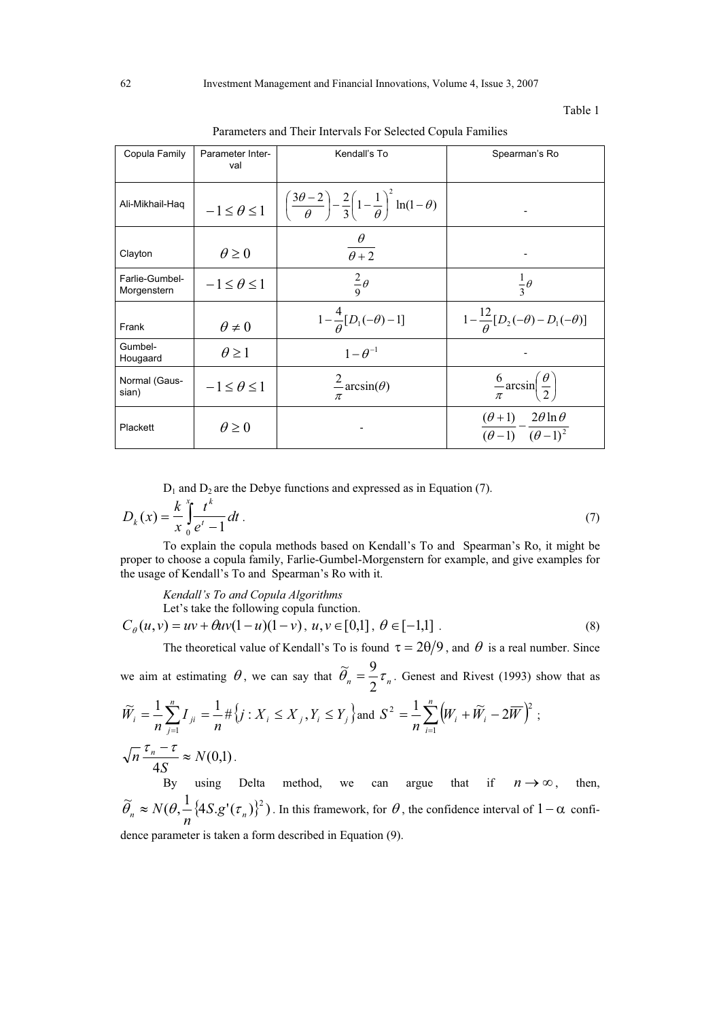#### Table 1

| Copula Family                 | Parameter Inter-<br>val | Kendall's To                                                                                                                                               | Spearman's Ro                                                             |
|-------------------------------|-------------------------|------------------------------------------------------------------------------------------------------------------------------------------------------------|---------------------------------------------------------------------------|
| Ali-Mikhail-Haq               |                         | $-1 \leq \theta \leq 1 \quad \left  \left( \frac{3\theta - 2}{\theta} \right) - \frac{2}{3} \left( 1 - \frac{1}{\theta} \right)^2 \ln(1 - \theta) \right $ |                                                                           |
| Clayton                       | $\theta \geq 0$         | $\theta$<br>$\overline{\theta+2}$                                                                                                                          |                                                                           |
| Farlie-Gumbel-<br>Morgenstern | $-1 \leq \theta \leq 1$ | $rac{2}{9}\theta$                                                                                                                                          | $rac{1}{3}\theta$                                                         |
| Frank                         | $\theta \neq 0$         | $1-\frac{4}{\theta}[D_1(-\theta)-1]$                                                                                                                       | $1-\frac{12}{\theta}[D_2(-\theta)-D_1(-\theta)]$                          |
| Gumbel-<br>Hougaard           | $\theta \geq 1$         | $1-\theta^{-1}$                                                                                                                                            |                                                                           |
| Normal (Gaus-<br>sian)        | $-1 \leq \theta \leq 1$ | $\angle$ arcsin( $\theta$ )<br>π                                                                                                                           | $\frac{6}{\pi} \arcsin \left( \frac{\theta}{2} \right)$                   |
| Plackett                      | $\theta \geq 0$         |                                                                                                                                                            | $\frac{(\theta+1)}{(\theta-1)} - \frac{2\theta \ln \theta}{(\theta-1)^2}$ |

Parameters and Their Intervals For Selected Copula Families

 $D_1$  and  $D_2$  are the Debye functions and expressed as in Equation (7).

$$
D_k(x) = \frac{k}{x} \int_0^x \frac{t^k}{e^t - 1} dt
$$
 (7)

To explain the copula methods based on Kendall's To and Spearman's Ro, it might be proper to choose a copula family, Farlie-Gumbel-Morgenstern for example, and give examples for the usage of Kendall's To and Spearman's Ro with it.

*Kendall's To and Copula Algorithms*  Let's take the following copula function.  $C_{\theta}(u, v) = uv + \theta uv(1 - u)(1 - v), u, v \in [0, 1], \theta \in [-1, 1]$ . (8)

The theoretical value of Kendall's To is found  $\tau = 2\theta/9$ , and  $\theta$  is a real number. Since we aim at estimating  $\theta$ , we can say that  $\theta_n = \frac{1}{2} \tau_n$  $\widetilde{\theta}_n = \frac{9}{2} \tau_n$ . Genest and Rivest (1993) show that as  $\sum_{j}^{n} I_{ji} = \frac{1}{n} \# \{ j : X_i \leq X_j, Y_i \leq Y_j \}$ a *j*  $Y_i = \frac{1}{n} \sum_{j=1}^{n} I_{ji} = \frac{1}{n} \# \{j : X_i \leq X_j, Y_i \leq Y_i\}$ *I*  $\widetilde{W}_i = \frac{1}{n} \sum_{j=1}^{n} I_{ji} = \frac{1}{n} \# \{ j : X_i \leq X_j, Y_i \leq \frac{1}{n} \}$  $\widetilde{V}_i = \frac{1}{2} \sum_{i=1}^{n} I_{ii} = \frac{1}{2} \# \{ j : X_i \leq X_i \},$  $\sum_{i=1}^{n} I_{ji} = \frac{1}{n} \# \{ j : X_i \leq X_j, Y_i \leq Y_j \}$  and  $S^2 = \frac{1}{n} \sum_{i=1}^{n} (W_i + \widetilde{W}_i - 2\overline{W})^2$  $=$  $\frac{1}{2} \sum_{i=1}^{n} (W_i + \widetilde{W}_i$ *i*  $\frac{1}{n}\sum_{i=1}^{n}(W_i + W_i - 2W_i)$ *S* 1  $2^2 = \frac{1}{2} \sum_{i=1}^{n} (W_i + \widetilde{W}_i - 2\overline{W})^2;$  $(0,1)$ 4 *N S*  $\frac{\tau_n - \tau}{\sqrt{n}} \approx$ . By using Delta method, we can argue that if  $n \rightarrow \infty$ , then,  $\widetilde{\theta}_n \approx N(\theta, \frac{1}{n} \{ 4S. g'(\tau_n) \}^2)$  $\theta_n \approx N(\theta, -\langle 4S. g'(\tau_n) \rangle^2)$ . In this framework, for  $\theta$ , the confidence interval of  $1-\alpha$  confi-

dence parameter is taken a form described in Equation (9).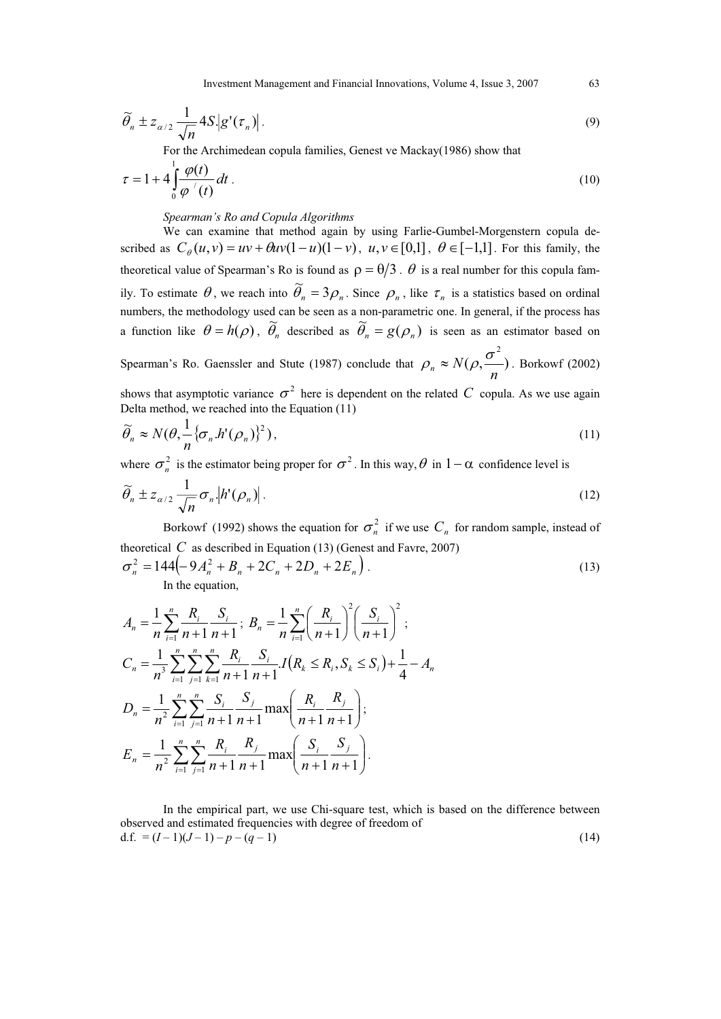Investment Management and Financial Innovations, Volume 4, Issue 3, 2007 63

$$
\widetilde{\theta}_n \pm z_{\alpha/2} \frac{1}{\sqrt{n}} 4S \Big| g'(\tau_n) \Big| \,. \tag{9}
$$

For the Archimedean copula families, Genest ve Mackay(1986) show that

$$
\tau = 1 + 4 \int_0^1 \frac{\varphi(t)}{\varphi'(t)} dt \tag{10}
$$

# *Spearman's Ro and Copula Algorithms*

We can examine that method again by using Farlie-Gumbel-Morgenstern copula described as  $C_{\theta}(u, v) = uv + \theta uv(1 - u)(1 - v)$ ,  $u, v \in [0, 1]$ ,  $\theta \in [-1, 1]$ . For this family, the theoretical value of Spearman's Ro is found as  $\rho = \theta/3$ .  $\theta$  is a real number for this copula family. To estimate  $\theta$ , we reach into  $\tilde{\theta}_n = 3\rho_n$ . Since  $\rho_n$ , like  $\tau_n$  is a statistics based on ordinal numbers, the methodology used can be seen as a non-parametric one. In general, if the process has a function like  $\theta = h(\rho)$ ,  $\tilde{\theta}_n$  described as  $\tilde{\theta}_n = g(\rho_n)$  is seen as an estimator based on 2

Spearman's Ro. Gaenssler and Stute (1987) conclude that  $\rho_n \approx N(\rho, \frac{g}{\rho})$  $\rho_n \approx N(\rho, \frac{\sigma}{n})$ . Borkowf (2002)

shows that asymptotic variance  $\sigma^2$  here is dependent on the related *C* copula. As we use again Delta method, we reached into the Equation (11)

$$
\widetilde{\theta}_n \approx N(\theta, \frac{1}{n} \{\sigma_n \cdot h'(\rho_n)\}^2),\tag{11}
$$

where  $\sigma_n^2$  is the estimator being proper for  $\sigma^2$ . In this way,  $\theta$  in  $1-\alpha$  confidence level is

$$
\widetilde{\theta}_n \pm z_{\alpha/2} \frac{1}{\sqrt{n}} \sigma_n |h'(\rho_n)|. \tag{12}
$$

Borkowf (1992) shows the equation for  $\sigma_n^2$  if we use  $C_n$  for random sample, instead of theoretical  $C$  as described in Equation (13) (Genest and Favre, 2007)

$$
\sigma_n^2 = 144 \left( -9A_n^2 + B_n + 2C_n + 2D_n + 2E_n \right).
$$
\nIn the equation

\n(13)

In the equation,

$$
A_{n} = \frac{1}{n} \sum_{i=1}^{n} \frac{R_{i}}{n+1} \frac{S_{i}}{n+1}; B_{n} = \frac{1}{n} \sum_{i=1}^{n} \left(\frac{R_{i}}{n+1}\right)^{2} \left(\frac{S_{i}}{n+1}\right)^{2};
$$
  
\n
$$
C_{n} = \frac{1}{n^{3}} \sum_{i=1}^{n} \sum_{j=1}^{n} \sum_{k=1}^{n} \frac{R_{i}}{n+1} \frac{S_{i}}{n+1} I(R_{k} \leq R_{i}, S_{k} \leq S_{i}) + \frac{1}{4} - A_{n}
$$
  
\n
$$
D_{n} = \frac{1}{n^{2}} \sum_{i=1}^{n} \sum_{j=1}^{n} \frac{S_{i}}{n+1} \frac{S_{j}}{n+1} \max\left(\frac{R_{i}}{n+1} \frac{R_{j}}{n+1}\right);
$$
  
\n
$$
E_{n} = \frac{1}{n^{2}} \sum_{i=1}^{n} \sum_{j=1}^{n} \frac{R_{i}}{n+1} \frac{R_{j}}{n+1} \max\left(\frac{S_{i}}{n+1} \frac{S_{j}}{n+1}\right).
$$

In the empirical part, we use Chi-square test, which is based on the difference between observed and estimated frequencies with degree of freedom of d.f. =  $(I-1)(J-1) - p - (q-1)$  (14)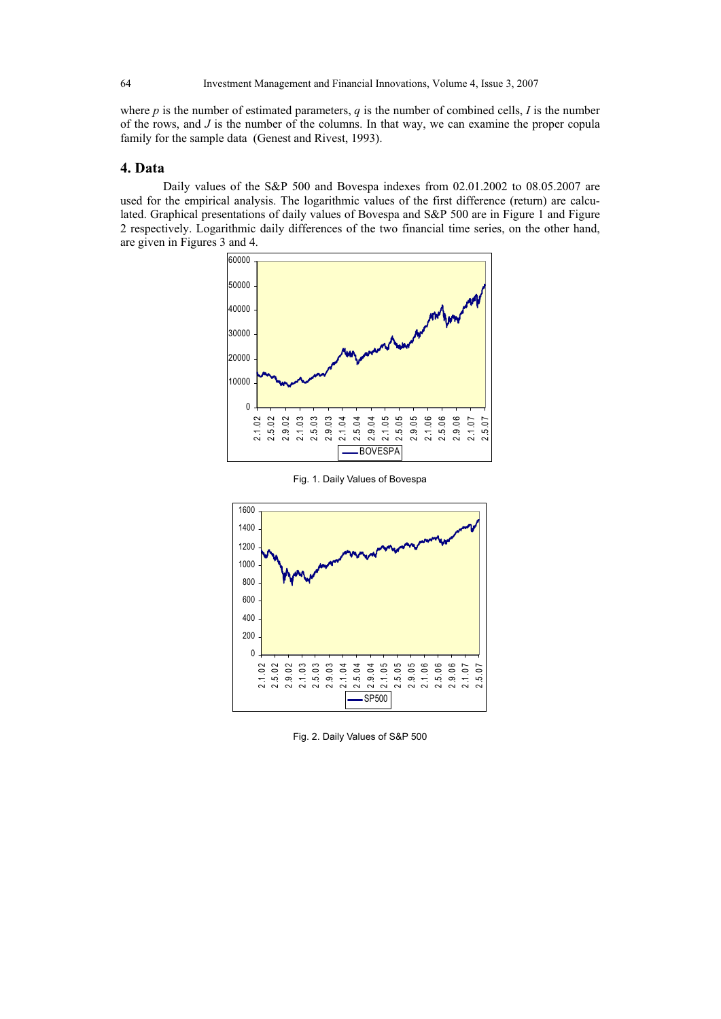where *p* is the number of estimated parameters, *q* is the number of combined cells, *I* is the number of the rows, and *J* is the number of the columns. In that way, we can examine the proper copula family for the sample data (Genest and Rivest, 1993).

# **4. Data**

Daily values of the S&P 500 and Bovespa indexes from 02.01.2002 to 08.05.2007 are used for the empirical analysis. The logarithmic values of the first difference (return) are calculated. Graphical presentations of daily values of Bovespa and S&P 500 are in Figure 1 and Figure 2 respectively. Logarithmic daily differences of the two financial time series, on the other hand, are given in Figures 3 and 4.



Fig. 1. Daily Values of Bovespa



Fig. 2. Daily Values of S&P 500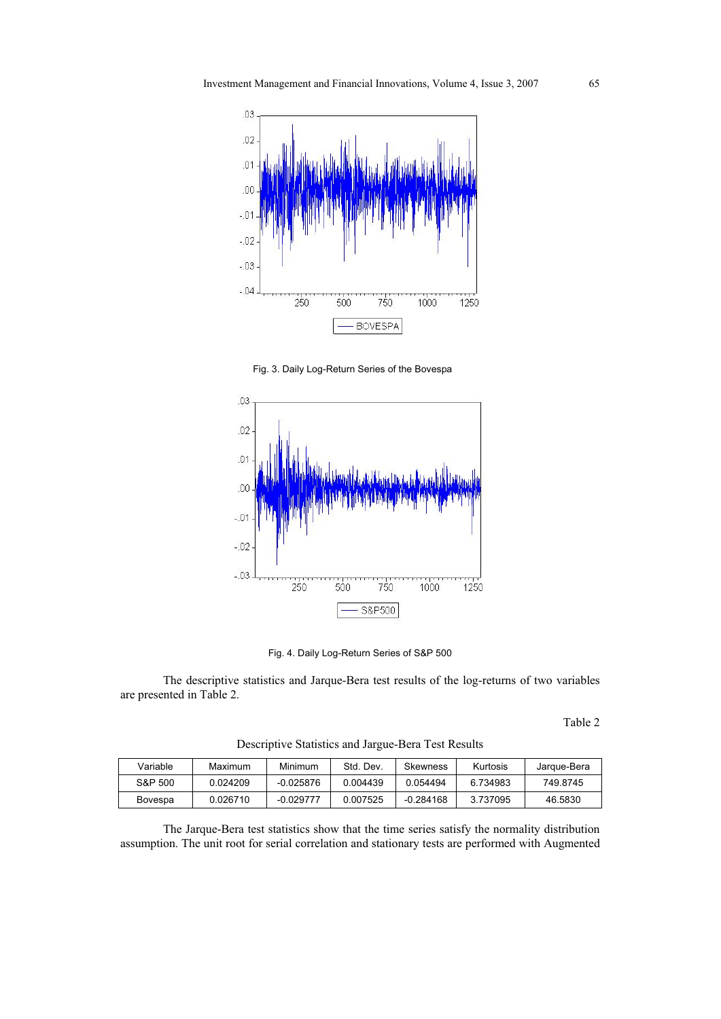

Fig. 3. Daily Log-Return Series of the Bovespa



Fig. 4. Daily Log-Return Series of S&P 500

The descriptive statistics and Jarque-Bera test results of the log-returns of two variables are presented in Table 2.

Table 2

| Variable | Maximum  | Minimum     | Std. Dev. | Skewness    | Kurtosis | Jargue-Bera |
|----------|----------|-------------|-----------|-------------|----------|-------------|
| S&P 500  | 0.024209 | $-0.025876$ | 0.004439  | 0.054494    | 6.734983 | 749.8745    |
| Bovespa  | 0.026710 | $-0.029777$ | 0.007525  | $-0.284168$ | 3.737095 | 46.5830     |

Descriptive Statistics and Jargue-Bera Test Results

The Jarque-Bera test statistics show that the time series satisfy the normality distribution assumption. The unit root for serial correlation and stationary tests are performed with Augmented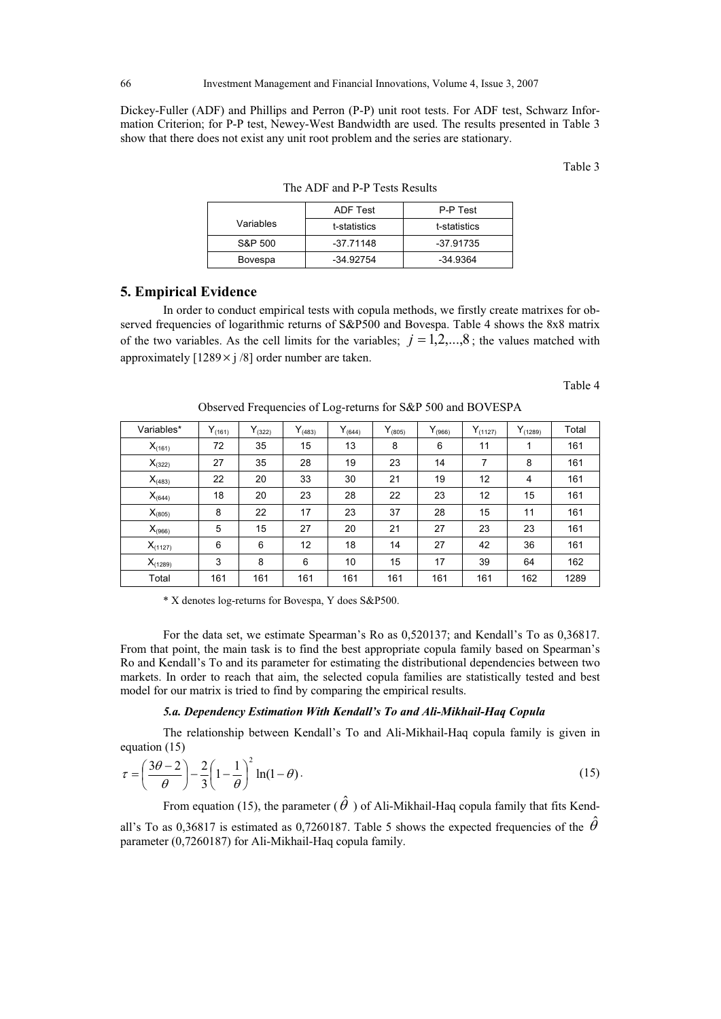Dickey-Fuller (ADF) and Phillips and Perron (P-P) unit root tests. For ADF test, Schwarz Information Criterion; for P-P test, Newey-West Bandwidth are used. The results presented in Table 3 show that there does not exist any unit root problem and the series are stationary.

Table 3

|           | ADF Test     | P-P Test     |
|-----------|--------------|--------------|
| Variables | t-statistics | t-statistics |
| S&P 500   | $-37.71148$  | -37.91735    |
| Bovespa   | -34.92754    | $-34.9364$   |

The ADF and P-P Tests Results

# **5. Empirical Evidence**

In order to conduct empirical tests with copula methods, we firstly create matrixes for observed frequencies of logarithmic returns of S&P500 and Bovespa. Table 4 shows the 8x8 matrix of the two variables. As the cell limits for the variables;  $j = 1, 2, \ldots, 8$ ; the values matched with approximately  $[1289 \times i/8]$  order number are taken.

Table 4

| Variables*   | $Y_{(161)}$ | $Y_{(322)}$ | $Y_{(483)}$ | $Y_{(644)}$ | $Y_{(805)}$ | $Y_{(966)}$ | $Y_{(1127)}$ | $Y_{(1289)}$ | Total |
|--------------|-------------|-------------|-------------|-------------|-------------|-------------|--------------|--------------|-------|
| $X_{(161)}$  | 72          | 35          | 15          | 13          | 8           | 6           | 11           | 1            | 161   |
| $X_{(322)}$  | 27          | 35          | 28          | 19          | 23          | 14          | 7            | 8            | 161   |
| $X_{(483)}$  | 22          | 20          | 33          | 30          | 21          | 19          | 12           | 4            | 161   |
| $X_{(644)}$  | 18          | 20          | 23          | 28          | 22          | 23          | 12           | 15           | 161   |
| $X_{(805)}$  | 8           | 22          | 17          | 23          | 37          | 28          | 15           | 11           | 161   |
| $X_{(966)}$  | 5           | 15          | 27          | 20          | 21          | 27          | 23           | 23           | 161   |
| $X_{(1127)}$ | 6           | 6           | 12          | 18          | 14          | 27          | 42           | 36           | 161   |
| $X_{(1289)}$ | 3           | 8           | 6           | 10          | 15          | 17          | 39           | 64           | 162   |
| Total        | 161         | 161         | 161         | 161         | 161         | 161         | 161          | 162          | 1289  |

Observed Frequencies of Log-returns for S&P 500 and BOVESPA

\* X denotes log-returns for Bovespa, Y does S&P500.

For the data set, we estimate Spearman's Ro as 0,520137; and Kendall's To as 0,36817. From that point, the main task is to find the best appropriate copula family based on Spearman's Ro and Kendall's To and its parameter for estimating the distributional dependencies between two markets. In order to reach that aim, the selected copula families are statistically tested and best model for our matrix is tried to find by comparing the empirical results.

#### *5.a. Dependency Estimation With Kendall's To and Ali-Mikhail-Haq Copula*

The relationship between Kendall's To and Ali-Mikhail-Haq copula family is given in equation (15)

$$
\tau = \left(\frac{3\theta - 2}{\theta}\right) - \frac{2}{3}\left(1 - \frac{1}{\theta}\right)^2 \ln(1 - \theta). \tag{15}
$$

From equation (15), the parameter ( $\hat{\theta}$  ) of Ali-Mikhail-Haq copula family that fits Kend-

all's To as 0,36817 is estimated as 0,7260187. Table 5 shows the expected frequencies of the  $\hat{\theta}$ parameter (0,7260187) for Ali-Mikhail-Haq copula family.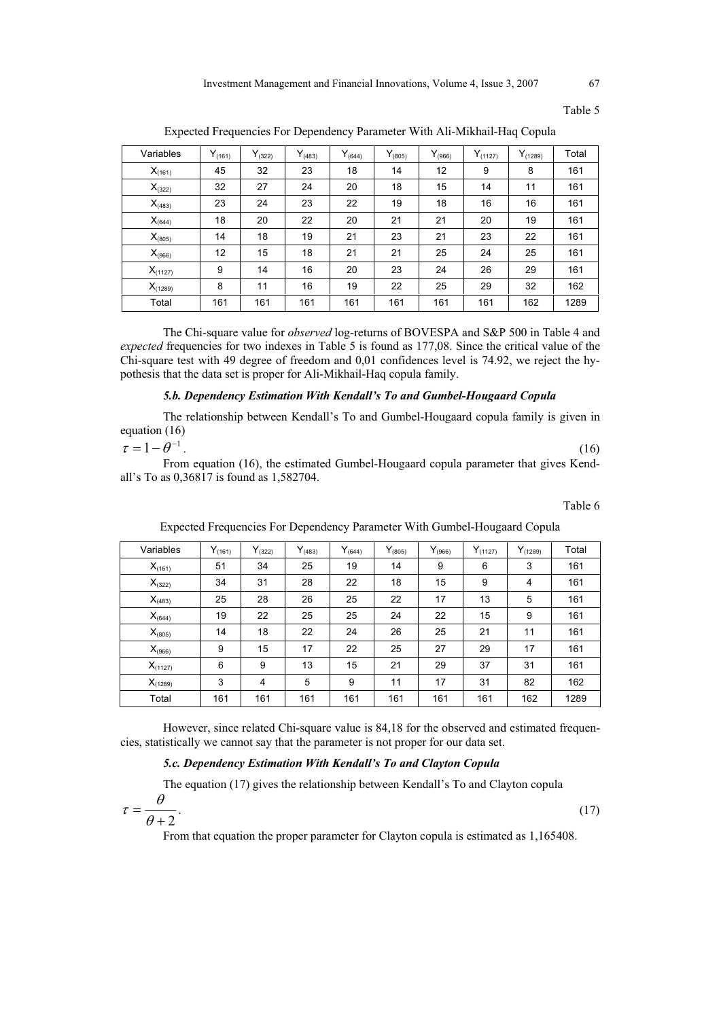Table 5

| Variables    | $Y_{(161)}$ | $Y_{(322)}$ | $Y_{(483)}$ | $Y_{(644)}$ | $Y_{(805)}$ | $Y_{(966)}$ | $Y_{(1127)}$ | $Y_{(1289)}$ | Total |
|--------------|-------------|-------------|-------------|-------------|-------------|-------------|--------------|--------------|-------|
| $X_{(161)}$  | 45          | 32          | 23          | 18          | 14          | 12          | 9            | 8            | 161   |
| $X_{(322)}$  | 32          | 27          | 24          | 20          | 18          | 15          | 14           | 11           | 161   |
| $X_{(483)}$  | 23          | 24          | 23          | 22          | 19          | 18          | 16           | 16           | 161   |
| $X_{(644)}$  | 18          | 20          | 22          | 20          | 21          | 21          | 20           | 19           | 161   |
| $X_{(805)}$  | 14          | 18          | 19          | 21          | 23          | 21          | 23           | 22           | 161   |
| $X_{(966)}$  | 12          | 15          | 18          | 21          | 21          | 25          | 24           | 25           | 161   |
| $X_{(1127)}$ | 9           | 14          | 16          | 20          | 23          | 24          | 26           | 29           | 161   |
| $X_{(1289)}$ | 8           | 11          | 16          | 19          | 22          | 25          | 29           | 32           | 162   |
| Total        | 161         | 161         | 161         | 161         | 161         | 161         | 161          | 162          | 1289  |

Expected Frequencies For Dependency Parameter With Ali-Mikhail-Haq Copula

The Chi-square value for *observed* log-returns of BOVESPA and S&P 500 in Table 4 and *expected* frequencies for two indexes in Table 5 is found as 177,08. Since the critical value of the Chi-square test with 49 degree of freedom and 0,01 confidences level is 74.92, we reject the hypothesis that the data set is proper for Ali-Mikhail-Haq copula family.

# *5.b. Dependency Estimation With Kendall's To and Gumbel-Hougaard Copula*

The relationship between Kendall's To and Gumbel-Hougaard copula family is given in equation (16)

$$
\tau = 1 - \theta^{-1}.\tag{16}
$$

From equation (16), the estimated Gumbel-Hougaard copula parameter that gives Kendall's To as 0,36817 is found as 1,582704.

Table 6

| Variables    | $Y_{(161)}$ | $Y_{(322)}$    | $Y_{(483)}$ | $Y_{(644)}$ | $Y_{(805)}$ | $Y_{(966)}$ | $Y_{(1127)}$ | $Y_{(1289)}$ | Total |
|--------------|-------------|----------------|-------------|-------------|-------------|-------------|--------------|--------------|-------|
| $X_{(161)}$  | 51          | 34             | 25          | 19          | 14          | 9           | 6            | 3            | 161   |
| $X_{(322)}$  | 34          | 31             | 28          | 22          | 18          | 15          | 9            | 4            | 161   |
| $X_{(483)}$  | 25          | 28             | 26          | 25          | 22          | 17          | 13           | 5            | 161   |
| $X_{(644)}$  | 19          | 22             | 25          | 25          | 24          | 22          | 15           | 9            | 161   |
| $X_{(805)}$  | 14          | 18             | 22          | 24          | 26          | 25          | 21           | 11           | 161   |
| $X_{(966)}$  | 9           | 15             | 17          | 22          | 25          | 27          | 29           | 17           | 161   |
| $X_{(1127)}$ | 6           | 9              | 13          | 15          | 21          | 29          | 37           | 31           | 161   |
| $X_{(1289)}$ | 3           | $\overline{4}$ | 5           | 9           | 11          | 17          | 31           | 82           | 162   |
| Total        | 161         | 161            | 161         | 161         | 161         | 161         | 161          | 162          | 1289  |

Expected Frequencies For Dependency Parameter With Gumbel-Hougaard Copula

However, since related Chi-square value is 84,18 for the observed and estimated frequencies, statistically we cannot say that the parameter is not proper for our data set.

# *5.c. Dependency Estimation With Kendall's To and Clayton Copula*

The equation (17) gives the relationship between Kendall's To and Clayton copula

$$
\tau = \frac{\theta}{\theta + 2}.\tag{17}
$$

 $\sqrt{2}$ 

From that equation the proper parameter for Clayton copula is estimated as 1,165408.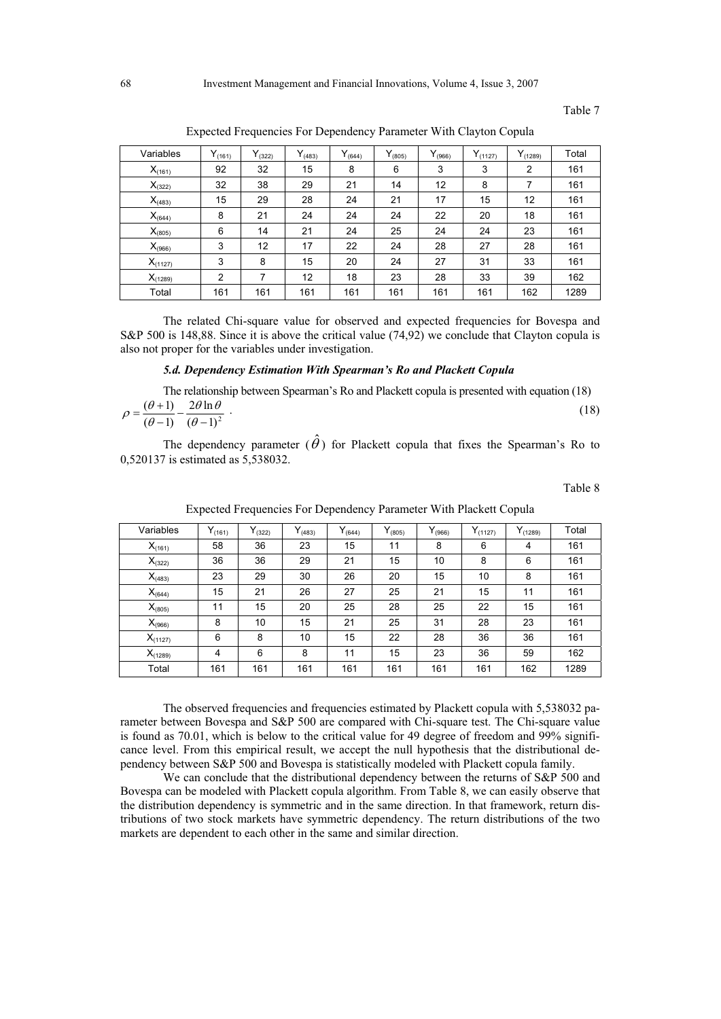Table 7

| Variables    | $Y_{(161)}$ | $Y_{(322)}$ | $Y_{(483)}$ | $Y_{(644)}$ | $Y_{(805)}$ | $Y_{(966)}$ | $Y_{(1127)}$ | $Y_{(1289)}$ | Total |
|--------------|-------------|-------------|-------------|-------------|-------------|-------------|--------------|--------------|-------|
| $X_{(161)}$  | 92          | 32          | 15          | 8           | 6           | 3           | 3            | 2            | 161   |
| $X_{(322)}$  | 32          | 38          | 29          | 21          | 14          | 12          | 8            | 7            | 161   |
| $X_{(483)}$  | 15          | 29          | 28          | 24          | 21          | 17          | 15           | 12           | 161   |
| $X_{(644)}$  | 8           | 21          | 24          | 24          | 24          | 22          | 20           | 18           | 161   |
| $X_{(805)}$  | 6           | 14          | 21          | 24          | 25          | 24          | 24           | 23           | 161   |
| $X_{(966)}$  | 3           | 12          | 17          | 22          | 24          | 28          | 27           | 28           | 161   |
| $X_{(1127)}$ | 3           | 8           | 15          | 20          | 24          | 27          | 31           | 33           | 161   |
| $X_{(1289)}$ | 2           | 7           | 12          | 18          | 23          | 28          | 33           | 39           | 162   |
| Total        | 161         | 161         | 161         | 161         | 161         | 161         | 161          | 162          | 1289  |

Expected Frequencies For Dependency Parameter With Clayton Copula

The related Chi-square value for observed and expected frequencies for Bovespa and S&P 500 is 148,88. Since it is above the critical value (74,92) we conclude that Clayton copula is also not proper for the variables under investigation.

#### *5.d. Dependency Estimation With Spearman's Ro and Plackett Copula*

The relationship between Spearman's Ro and Plackett copula is presented with equation (18)  $(\theta - 1)^2$  $2\theta$ ln  $(\theta-1)$  $(\theta+1)$  $\frac{1}{-1}$  -  $\frac{201}{(\theta - )}$  $=\frac{(\theta+1)}{(\theta-1)}-\frac{2\theta}{(\theta-1)}$  $\theta$   $\ln \theta$  $\theta$  $\rho = \frac{(\theta + 1)}{(\theta - 1)^2} - \frac{2\theta \ln \theta}{(\theta - 1)^2}$ . (18)

The dependency parameter  $(\hat{\theta})$  for Plackett copula that fixes the Spearman's Ro to 0,520137 is estimated as 5,538032.

Table 8

| Variables    | $Y_{(161)}$    | $Y_{(322)}$ | $Y_{(483)}$ | $Y_{(644)}$ | $Y_{(805)}$ | $Y_{(966)}$ | $Y_{(1127)}$ | $Y_{(1289)}$ | Total |
|--------------|----------------|-------------|-------------|-------------|-------------|-------------|--------------|--------------|-------|
| $X_{(161)}$  | 58             | 36          | 23          | 15          | 11          | 8           | 6            | 4            | 161   |
| $X_{(322)}$  | 36             | 36          | 29          | 21          | 15          | 10          | 8            | 6            | 161   |
| $X_{(483)}$  | 23             | 29          | 30          | 26          | 20          | 15          | 10           | 8            | 161   |
| $X_{(644)}$  | 15             | 21          | 26          | 27          | 25          | 21          | 15           | 11           | 161   |
| $X_{(805)}$  | 11             | 15          | 20          | 25          | 28          | 25          | 22           | 15           | 161   |
| $X_{(966)}$  | 8              | 10          | 15          | 21          | 25          | 31          | 28           | 23           | 161   |
| $X_{(1127)}$ | 6              | 8           | 10          | 15          | 22          | 28          | 36           | 36           | 161   |
| $X_{(1289)}$ | $\overline{4}$ | 6           | 8           | 11          | 15          | 23          | 36           | 59           | 162   |
| Total        | 161            | 161         | 161         | 161         | 161         | 161         | 161          | 162          | 1289  |

Expected Frequencies For Dependency Parameter With Plackett Copula

The observed frequencies and frequencies estimated by Plackett copula with 5,538032 parameter between Bovespa and S&P 500 are compared with Chi-square test. The Chi-square value is found as 70.01, which is below to the critical value for 49 degree of freedom and 99% significance level. From this empirical result, we accept the null hypothesis that the distributional dependency between S&P 500 and Bovespa is statistically modeled with Plackett copula family.

We can conclude that the distributional dependency between the returns of S&P 500 and Bovespa can be modeled with Plackett copula algorithm. From Table 8, we can easily observe that the distribution dependency is symmetric and in the same direction. In that framework, return distributions of two stock markets have symmetric dependency. The return distributions of the two markets are dependent to each other in the same and similar direction.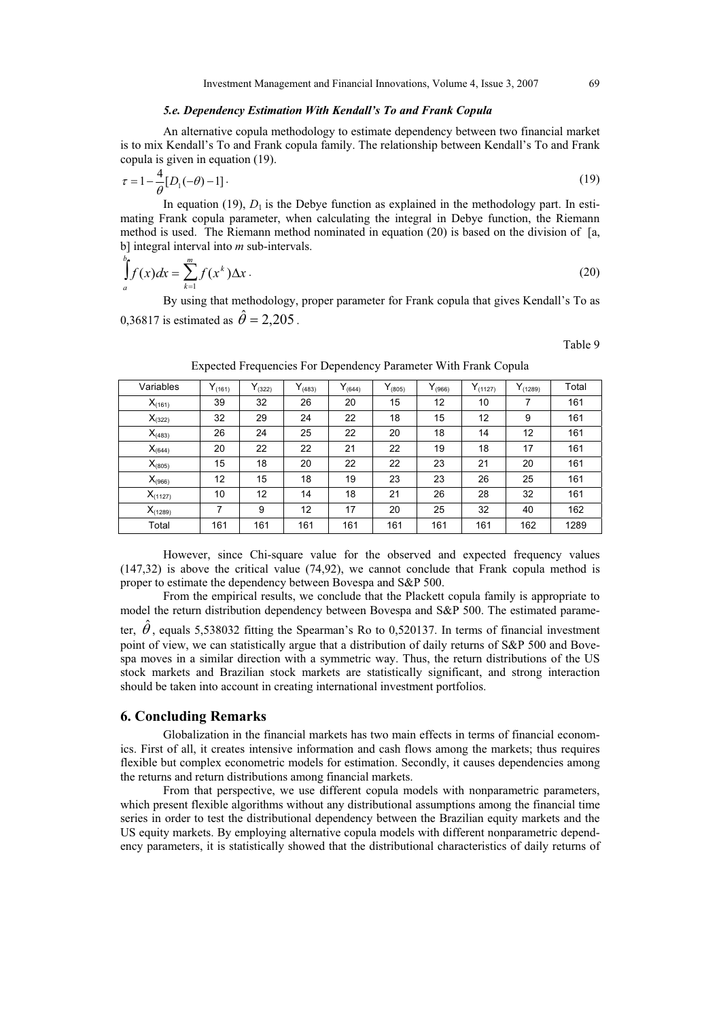#### *5.e. Dependency Estimation With Kendall's To and Frank Copula*

An alternative copula methodology to estimate dependency between two financial market is to mix Kendall's To and Frank copula family. The relationship between Kendall's To and Frank copula is given in equation (19).

$$
\tau = 1 - \frac{4}{\theta} [D_1(-\theta) - 1]. \tag{19}
$$

In equation (19),  $D_1$  is the Debye function as explained in the methodology part. In estimating Frank copula parameter, when calculating the integral in Debye function, the Riemann method is used. The Riemann method nominated in equation (20) is based on the division of [a, b] integral interval into *m* sub-intervals.

$$
\int_{a}^{b} f(x)dx = \sum_{k=1}^{m} f(x^{k}) \Delta x.
$$
\n(20)

By using that methodology, proper parameter for Frank copula that gives Kendall's To as 0.36817 is estimated as  $\hat{\theta} = 2.205$ .

Table 9

| Variables    | $Y_{(161)}$ | $Y_{(322)}$ | $Y_{(483)}$ | $Y_{(644)}$ | $Y_{(805)}$ | $Y_{(966)}$ | $Y_{(1127)}$ | $Y_{(1289)}$ | Total |
|--------------|-------------|-------------|-------------|-------------|-------------|-------------|--------------|--------------|-------|
| $X_{(161)}$  | 39          | 32          | 26          | 20          | 15          | 12          | 10           | 7            | 161   |
| $X_{(322)}$  | 32          | 29          | 24          | 22          | 18          | 15          | 12           | 9            | 161   |
| $X_{(483)}$  | 26          | 24          | 25          | 22          | 20          | 18          | 14           | 12           | 161   |
| $X_{(644)}$  | 20          | 22          | 22          | 21          | 22          | 19          | 18           | 17           | 161   |
| $X_{(805)}$  | 15          | 18          | 20          | 22          | 22          | 23          | 21           | 20           | 161   |
| $X_{(966)}$  | 12          | 15          | 18          | 19          | 23          | 23          | 26           | 25           | 161   |
| $X_{(1127)}$ | 10          | 12          | 14          | 18          | 21          | 26          | 28           | 32           | 161   |
| $X_{(1289)}$ | 7           | 9           | 12          | 17          | 20          | 25          | 32           | 40           | 162   |
| Total        | 161         | 161         | 161         | 161         | 161         | 161         | 161          | 162          | 1289  |

Expected Frequencies For Dependency Parameter With Frank Copula

However, since Chi-square value for the observed and expected frequency values (147,32) is above the critical value (74,92), we cannot conclude that Frank copula method is proper to estimate the dependency between Bovespa and S&P 500.

From the empirical results, we conclude that the Plackett copula family is appropriate to model the return distribution dependency between Bovespa and S&P 500. The estimated parame-

ter,  $\hat{\theta}$ , equals 5,538032 fitting the Spearman's Ro to 0,520137. In terms of financial investment point of view, we can statistically argue that a distribution of daily returns of S&P 500 and Bovespa moves in a similar direction with a symmetric way. Thus, the return distributions of the US stock markets and Brazilian stock markets are statistically significant, and strong interaction should be taken into account in creating international investment portfolios.

# **6. Concluding Remarks**

Globalization in the financial markets has two main effects in terms of financial economics. First of all, it creates intensive information and cash flows among the markets; thus requires flexible but complex econometric models for estimation. Secondly, it causes dependencies among the returns and return distributions among financial markets.

From that perspective, we use different copula models with nonparametric parameters, which present flexible algorithms without any distributional assumptions among the financial time series in order to test the distributional dependency between the Brazilian equity markets and the US equity markets. By employing alternative copula models with different nonparametric dependency parameters, it is statistically showed that the distributional characteristics of daily returns of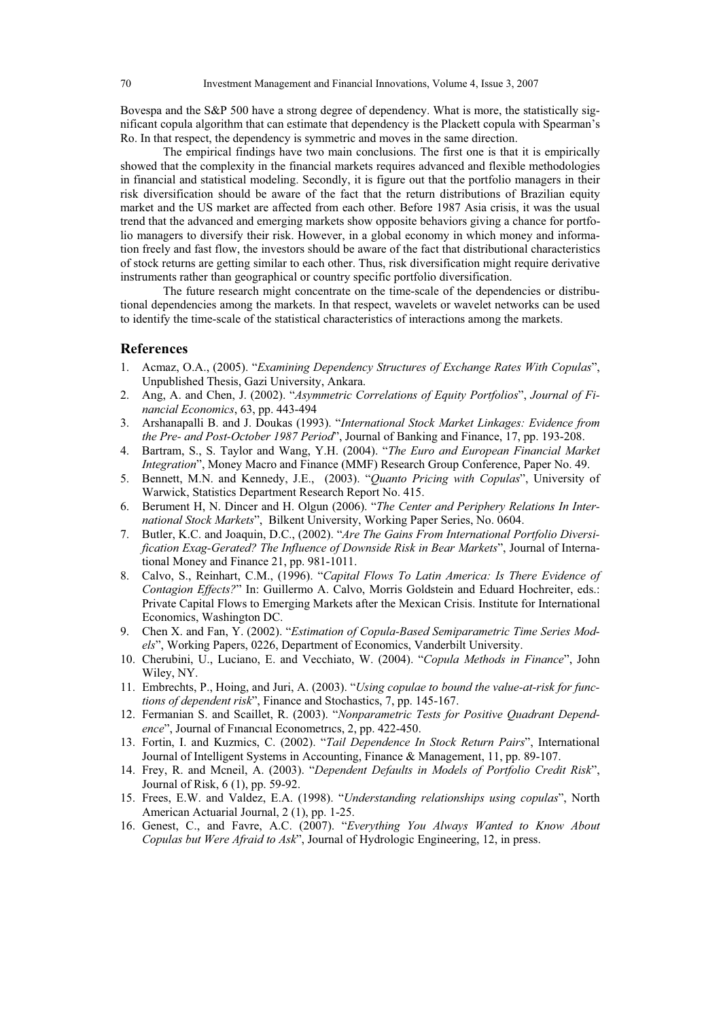Bovespa and the S&P 500 have a strong degree of dependency. What is more, the statistically significant copula algorithm that can estimate that dependency is the Plackett copula with Spearman's Ro. In that respect, the dependency is symmetric and moves in the same direction.

The empirical findings have two main conclusions. The first one is that it is empirically showed that the complexity in the financial markets requires advanced and flexible methodologies in financial and statistical modeling. Secondly, it is figure out that the portfolio managers in their risk diversification should be aware of the fact that the return distributions of Brazilian equity market and the US market are affected from each other. Before 1987 Asia crisis, it was the usual trend that the advanced and emerging markets show opposite behaviors giving a chance for portfolio managers to diversify their risk. However, in a global economy in which money and information freely and fast flow, the investors should be aware of the fact that distributional characteristics of stock returns are getting similar to each other. Thus, risk diversification might require derivative instruments rather than geographical or country specific portfolio diversification.

The future research might concentrate on the time-scale of the dependencies or distributional dependencies among the markets. In that respect, wavelets or wavelet networks can be used to identify the time-scale of the statistical characteristics of interactions among the markets.

# **References**

- 1. Acmaz, O.A., (2005). "*Examining Dependency Structures of Exchange Rates With Copulas*", Unpublished Thesis, Gazi University, Ankara.
- 2. Ang, A. and Chen, J. (2002). "*Asymmetric Correlations of Equity Portfolios*", *Journal of Financial Economics*, 63, pp. 443-494
- 3. Arshanapalli B. and J. Doukas (1993). "*International Stock Market Linkages: Evidence from the Pre- and Post-October 1987 Period*", Journal of Banking and Finance, 17, pp. 193-208.
- 4. Bartram, S., S. Taylor and Wang, Y.H. (2004). "*The Euro and European Financial Market Integration*", Money Macro and Finance (MMF) Research Group Conference, Paper No. 49.
- 5. Bennett, M.N. and Kennedy, J.E., (2003). "*Quanto Pricing with Copulas*", University of Warwick, Statistics Department Research Report No. 415.
- 6. Berument H, N. Dincer and H. Olgun (2006). "*The Center and Periphery Relations In International Stock Markets*", Bilkent University, Working Paper Series, No. 0604.
- 7. Butler, K.C. and Joaquin, D.C., (2002). "*Are The Gains From International Portfolio Diversification Exag-Gerated? The Influence of Downside Risk in Bear Markets*", Journal of International Money and Finance 21, pp. 981-1011.
- 8. Calvo, S., Reinhart, C.M., (1996). "*Capital Flows To Latin America: Is There Evidence of Contagion Effects?*" In: Guillermo A. Calvo, Morris Goldstein and Eduard Hochreiter, eds.: Private Capital Flows to Emerging Markets after the Mexican Crisis. Institute for International Economics, Washington DC.
- 9. Chen X. and Fan, Y. (2002). "*Estimation of Copula-Based Semiparametric Time Series Models*", Working Papers, 0226, Department of Economics, Vanderbilt University.
- 10. Cherubini, U., Luciano, E. and Vecchiato, W. (2004). "*Copula Methods in Finance*", John Wiley, NY.
- 11. Embrechts, P., Hoing, and Juri, A. (2003). "*Using copulae to bound the value-at-risk for functions of dependent risk*", Finance and Stochastics, 7, pp. 145-167.
- 12. Fermanian S. and Scaillet, R. (2003). "*Nonparametric Tests for Positive Quadrant Dependence*", Journal of Fınancıal Econometrıcs, 2, pp. 422-450.
- 13. Fortin, I. and Kuzmics, C. (2002). "*Tail Dependence In Stock Return Pairs*", International Journal of Intelligent Systems in Accounting, Finance & Management, 11, pp. 89-107.
- 14. Frey, R. and Mcneil, A. (2003). "*Dependent Defaults in Models of Portfolio Credit Risk*", Journal of Risk, 6 (1), pp. 59-92.
- 15. Frees, E.W. and Valdez, E.A. (1998). "*Understanding relationships using copulas*", North American Actuarial Journal, 2 (1), pp. 1-25.
- 16. Genest, C., and Favre, A.C. (2007). "*Everything You Always Wanted to Know About Copulas but Were Afraid to Ask*", Journal of Hydrologic Engineering, 12, in press.